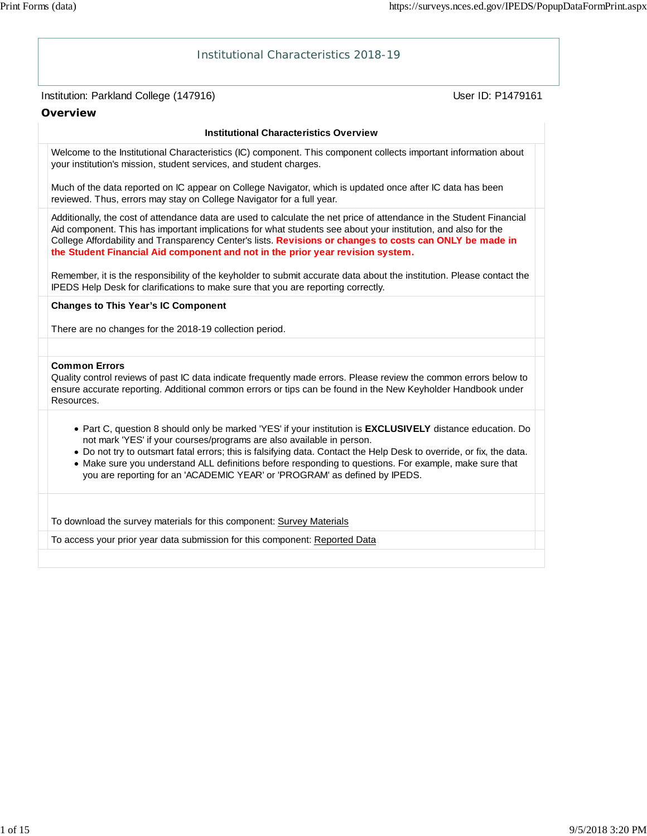# Institution: Parkland College (147916) November 2012 12: Physics User ID: P1479161 Institutional Characteristics 2018-19 **Overview Institutional Characteristics Overview** Welcome to the Institutional Characteristics (IC) component. This component collects important information about your institution's mission, student services, and student charges. Much of the data reported on IC appear on College Navigator, which is updated once after IC data has been reviewed. Thus, errors may stay on College Navigator for a full year. Additionally, the cost of attendance data are used to calculate the net price of attendance in the Student Financial Aid component. This has important implications for what students see about your institution, and also for the College Affordability and Transparency Center's lists. **Revisions or changes to costs can ONLY be made in the Student Financial Aid component and not in the prior year revision system.** Remember, it is the responsibility of the keyholder to submit accurate data about the institution. Please contact the IPEDS Help Desk for clarifications to make sure that you are reporting correctly. **Changes to This Year's IC Component** There are no changes for the 2018-19 collection period. **Common Errors** Quality control reviews of past IC data indicate frequently made errors. Please review the common errors below to ensure accurate reporting. Additional common errors or tips can be found in the New Keyholder Handbook under Resources. Part C, question 8 should only be marked 'YES' if your institution is **EXCLUSIVELY** distance education. Do not mark 'YES' if your courses/programs are also available in person. Do not try to outsmart fatal errors; this is falsifying data. Contact the Help Desk to override, or fix, the data. Make sure you understand ALL definitions before responding to questions. For example, make sure that you are reporting for an 'ACADEMIC YEAR' or 'PROGRAM' as defined by IPEDS. To download the survey materials for this component: Survey Materials To access your prior year data submission for this component: Reported Data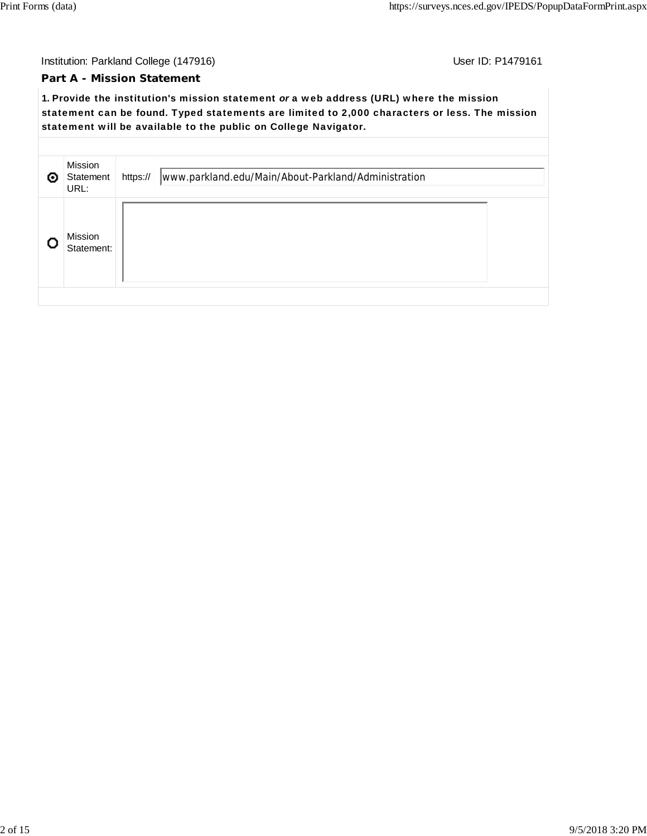#### **Part A - Mission Statement**

**1.** Provide the institution's mission statement *or* a web address (URL) where the mission statement can be found. Typed statements are limited to 2,000 characters or less. The mission statement will be available to the public on College Navigator.

| ⊚ | Mission<br>Statement<br>URL: | https:// | www.parkland.edu/Main/About-Parkland/Administration |  |
|---|------------------------------|----------|-----------------------------------------------------|--|
|   | Mission<br>Statement:        |          |                                                     |  |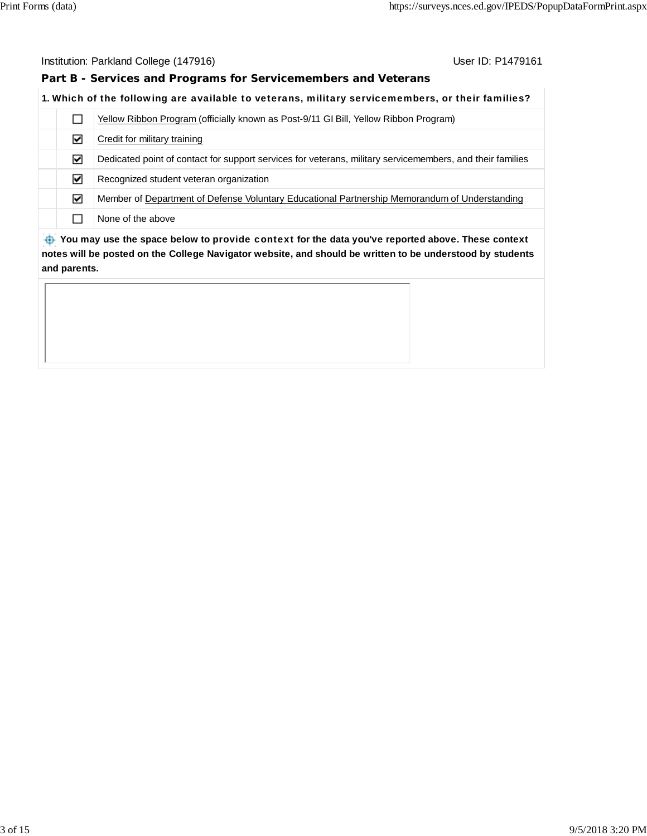**Part B - Services and Programs for Servicemembers and Veterans**

#### **1.** Which of the following are available to veterans, military servicemembers, or their families?

|                                                                                                  |   | Yellow Ribbon Program (officially known as Post-9/11 GI Bill, Yellow Ribbon Program)                      |  |  |
|--------------------------------------------------------------------------------------------------|---|-----------------------------------------------------------------------------------------------------------|--|--|
|                                                                                                  | ☑ | Credit for military training                                                                              |  |  |
|                                                                                                  | ☑ | Dedicated point of contact for support services for veterans, military servicemembers, and their families |  |  |
|                                                                                                  | ☑ | Recognized student veteran organization                                                                   |  |  |
|                                                                                                  | ☑ | Member of Department of Defense Voluntary Educational Partnership Memorandum of Understanding             |  |  |
|                                                                                                  |   | None of the above                                                                                         |  |  |
| Nou may use the space below to provide context for the data veulye reported above. These context |   |                                                                                                           |  |  |

 **You may use the space below to** provide context **for the data you've reported above. These context notes will be posted on the College Navigator website, and should be written to be understood by students and parents.**

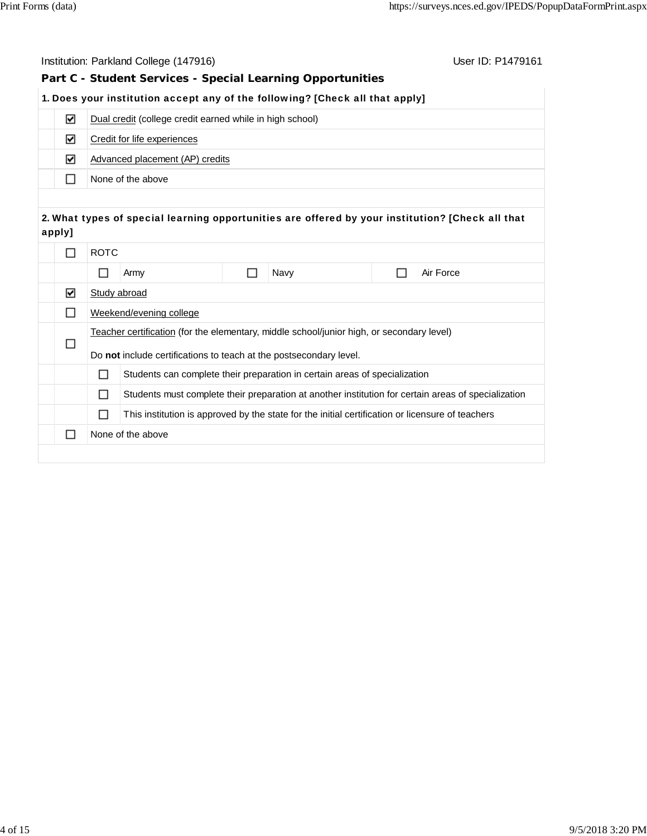| Institution: Parkland College (147916)<br>User ID: P1479161<br>Part C - Student Services - Special Learning Opportunities |                                                                                                       |                                                                                           |  |  |  |                                                                                                     |  |
|---------------------------------------------------------------------------------------------------------------------------|-------------------------------------------------------------------------------------------------------|-------------------------------------------------------------------------------------------|--|--|--|-----------------------------------------------------------------------------------------------------|--|
|                                                                                                                           |                                                                                                       |                                                                                           |  |  |  |                                                                                                     |  |
|                                                                                                                           |                                                                                                       | 1. Does your institution accept any of the following? [Check all that apply]              |  |  |  |                                                                                                     |  |
| ☑                                                                                                                         | Dual credit (college credit earned while in high school)                                              |                                                                                           |  |  |  |                                                                                                     |  |
| ☑                                                                                                                         | Credit for life experiences                                                                           |                                                                                           |  |  |  |                                                                                                     |  |
| ☑                                                                                                                         |                                                                                                       | Advanced placement (AP) credits                                                           |  |  |  |                                                                                                     |  |
| П                                                                                                                         |                                                                                                       | None of the above                                                                         |  |  |  |                                                                                                     |  |
|                                                                                                                           |                                                                                                       |                                                                                           |  |  |  |                                                                                                     |  |
| apply]                                                                                                                    |                                                                                                       |                                                                                           |  |  |  | 2. What types of special learning opportunities are offered by your institution? [Check all that    |  |
| П                                                                                                                         | <b>ROTC</b>                                                                                           |                                                                                           |  |  |  |                                                                                                     |  |
|                                                                                                                           | П<br>Navy<br>Air Force<br>$\Box$<br>Army                                                              |                                                                                           |  |  |  |                                                                                                     |  |
| ☑                                                                                                                         |                                                                                                       | Study abroad                                                                              |  |  |  |                                                                                                     |  |
| П                                                                                                                         |                                                                                                       | Weekend/evening college                                                                   |  |  |  |                                                                                                     |  |
|                                                                                                                           |                                                                                                       | Teacher certification (for the elementary, middle school/junior high, or secondary level) |  |  |  |                                                                                                     |  |
| □                                                                                                                         | Do not include certifications to teach at the postsecondary level.                                    |                                                                                           |  |  |  |                                                                                                     |  |
|                                                                                                                           | □<br>Students can complete their preparation in certain areas of specialization                       |                                                                                           |  |  |  |                                                                                                     |  |
|                                                                                                                           | □                                                                                                     |                                                                                           |  |  |  | Students must complete their preparation at another institution for certain areas of specialization |  |
|                                                                                                                           | This institution is approved by the state for the initial certification or licensure of teachers<br>□ |                                                                                           |  |  |  |                                                                                                     |  |
| □                                                                                                                         |                                                                                                       | None of the above                                                                         |  |  |  |                                                                                                     |  |
|                                                                                                                           |                                                                                                       |                                                                                           |  |  |  |                                                                                                     |  |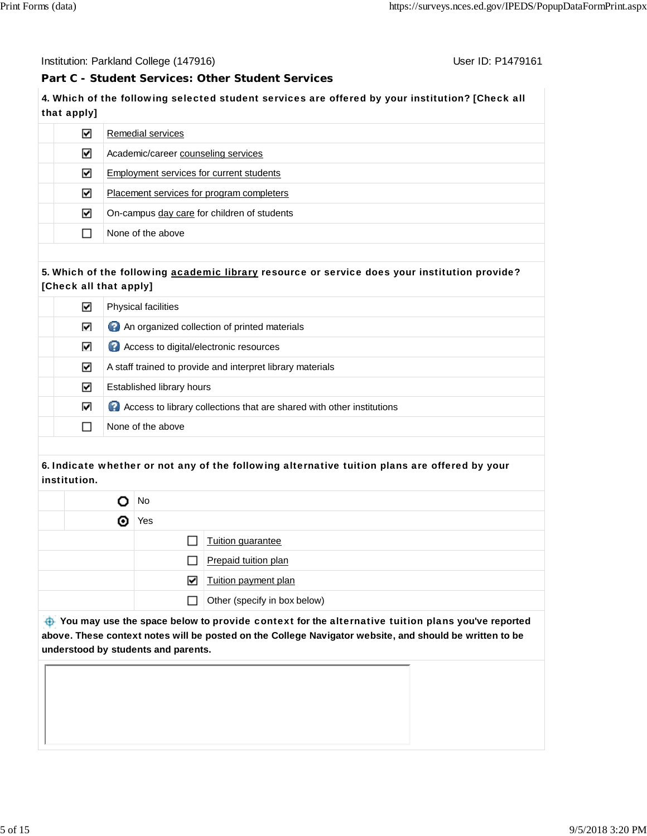Institution: Parkland College (147916) November 2012 12: P1479161

## **Part C - Student Services: Other Student Services**

**4.** Which of the following selected student services are offered by your institution? [Check all that apply]

| ∨ | Remedial services                           |
|---|---------------------------------------------|
| ☑ | Academic/career counseling services         |
| V | Employment services for current students    |
| ∨ | Placement services for program completers   |
| ☑ | On-campus day care for children of students |
|   | None of the above                           |

#### **5.** Which of the following academic library resource or service does your institution provide? [Check all that apply]

| V | <b>Physical facilities</b>                                              |
|---|-------------------------------------------------------------------------|
| ☑ | An organized collection of printed materials                            |
| ☑ | Access to digital/electronic resources                                  |
| ☑ | A staff trained to provide and interpret library materials              |
| M | Established library hours                                               |
| ☑ | 2 Access to library collections that are shared with other institutions |
|   | None of the above                                                       |

#### **6.** Indicate whether or not any of the following alternative tuition plans are offered by your institution.

|   | No           |                              |  |  |
|---|--------------|------------------------------|--|--|
| O | Yes          |                              |  |  |
|   |              | Tuition guarantee            |  |  |
|   | ΙI           | Prepaid tuition plan         |  |  |
|   | ☑            | Tuition payment plan         |  |  |
|   | $\mathsf{L}$ | Other (specify in box below) |  |  |

 **You may use the space below to** provide context **for the** alternative tuition plans **you've reported above. These context notes will be posted on the College Navigator website, and should be written to be understood by students and parents.**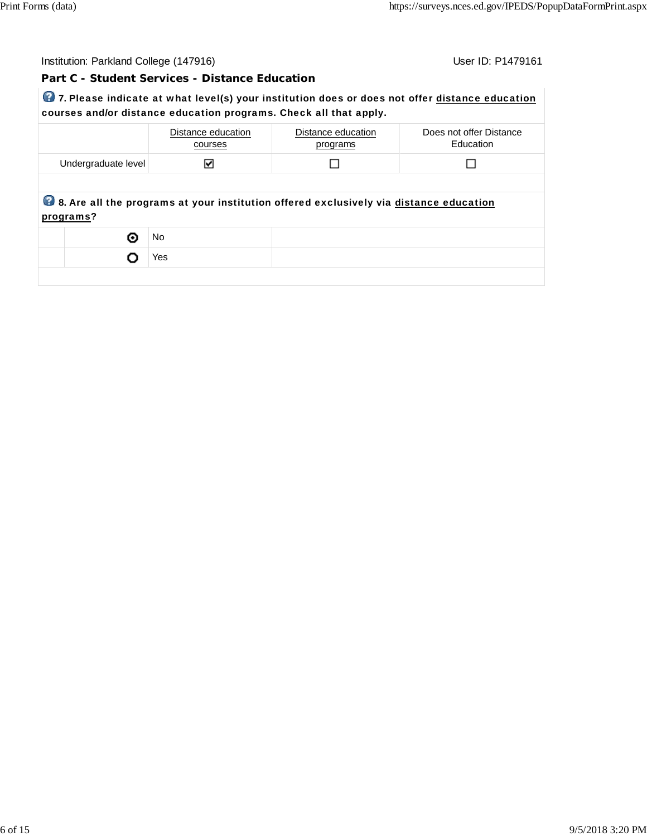| Institution: Parkland College (147916)                                                                                                                              | User ID: P1479161 |
|---------------------------------------------------------------------------------------------------------------------------------------------------------------------|-------------------|
| Part C - Student Services - Distance Education                                                                                                                      |                   |
| 7. Please indicate at what level(s) your institution does or does not offer distance education<br>courses and/or distance education programs. Check all that apply. |                   |

|                     | Distance education<br>courses | Distance education<br>programs                                                         | Does not offer Distance<br>Education |
|---------------------|-------------------------------|----------------------------------------------------------------------------------------|--------------------------------------|
| Undergraduate level |                               |                                                                                        |                                      |
|                     |                               |                                                                                        |                                      |
| programs?           |                               | 8. Are all the programs at your institution offered exclusively via distance education |                                      |
| 0                   | No.                           |                                                                                        |                                      |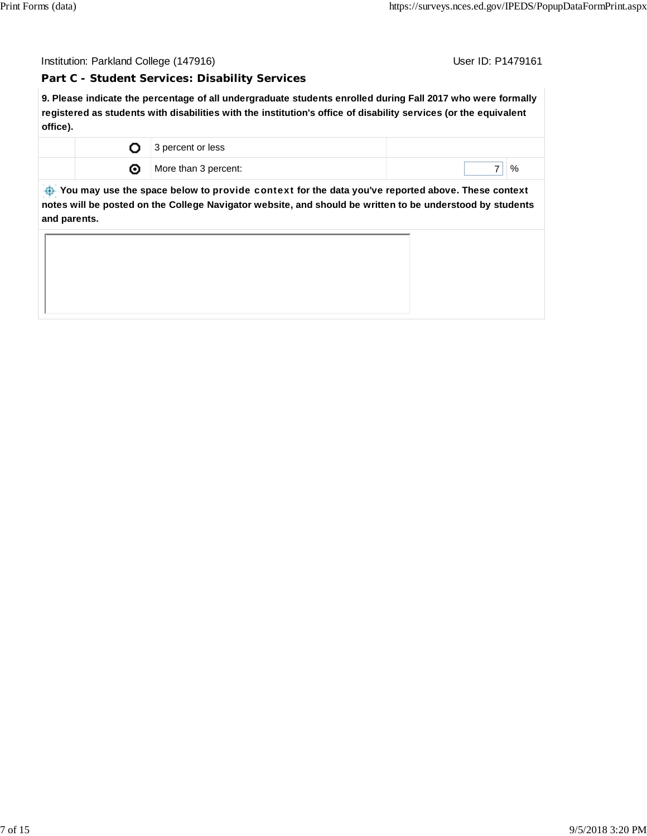**Part C - Student Services: Disability Services**

**9. Please indicate the percentage of all undergraduate students enrolled during Fall 2017 who were formally registered as students with disabilities with the institution's office of disability services (or the equivalent office).**

| 3 percent or less    |   |
|----------------------|---|
| More than 3 percent: | % |

 **You may use the space below to** provide context **for the data you've reported above. These context notes will be posted on the College Navigator website, and should be written to be understood by students and parents.**

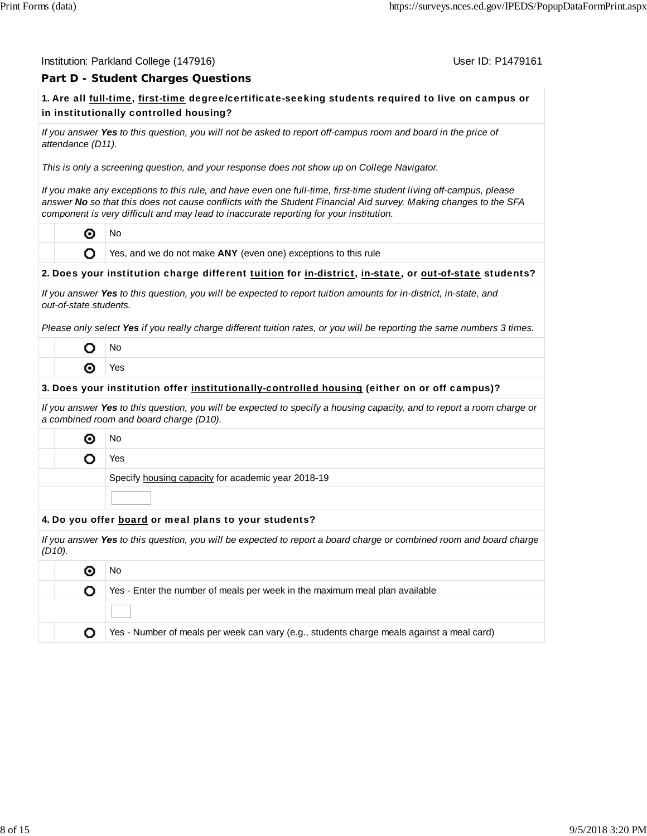| Institution: Parkland College (147916) |
|----------------------------------------|
|----------------------------------------|

User ID: P1479161

#### **Part D - Student Charges Questions**

## **1.** Are all full-time, first-time degree/certificate-seeking students required to live on campus or in institutionally controlled housing?

*If you answer Yes to this question, you will not be asked to report off-campus room and board in the price of attendance (D11).*

*This is only a screening question, and your response does not show up on College Navigator.*

*If you make any exceptions to this rule, and have even one full-time, first-time student living off-campus, please answer No so that this does not cause conflicts with the Student Financial Aid survey. Making changes to the SFA component is very difficult and may lead to inaccurate reporting for your institution.*

⊙ No

O

Yes, and we do not make **ANY** (even one) exceptions to this rule

#### **2.** Does your institution charge different tuition for in-district, in-state, or out-of-state students?

| If you answer Yes to this question, you will be expected to report tuition amounts for in-district, in-state, and |  |
|-------------------------------------------------------------------------------------------------------------------|--|
| out-of-state students.                                                                                            |  |

*Please only select Yes if you really charge different tuition rates, or you will be reporting the same numbers 3 times.*

| ۰lο |
|-----|
| és. |

#### **3.** Does your institution offer institutionally-controlled housing (either on or off campus)?

*If you answer Yes to this question, you will be expected to specify a housing capacity, and to report a room charge or a combined room and board charge (D10).*

- ◉ No
	- Yes o

Specify housing capacity for academic year 2018-19

#### **4.** Do you offer board or meal plans to your students?

| If you answer Yes to this question, you will be expected to report a board charge or combined room and board charge<br>$(D10)$ . |                                                                                           |  |  |  |  |  |  |
|----------------------------------------------------------------------------------------------------------------------------------|-------------------------------------------------------------------------------------------|--|--|--|--|--|--|
| No.                                                                                                                              |                                                                                           |  |  |  |  |  |  |
|                                                                                                                                  | Yes - Enter the number of meals per week in the maximum meal plan available               |  |  |  |  |  |  |
|                                                                                                                                  |                                                                                           |  |  |  |  |  |  |
|                                                                                                                                  | Yes - Number of meals per week can vary (e.g., students charge meals against a meal card) |  |  |  |  |  |  |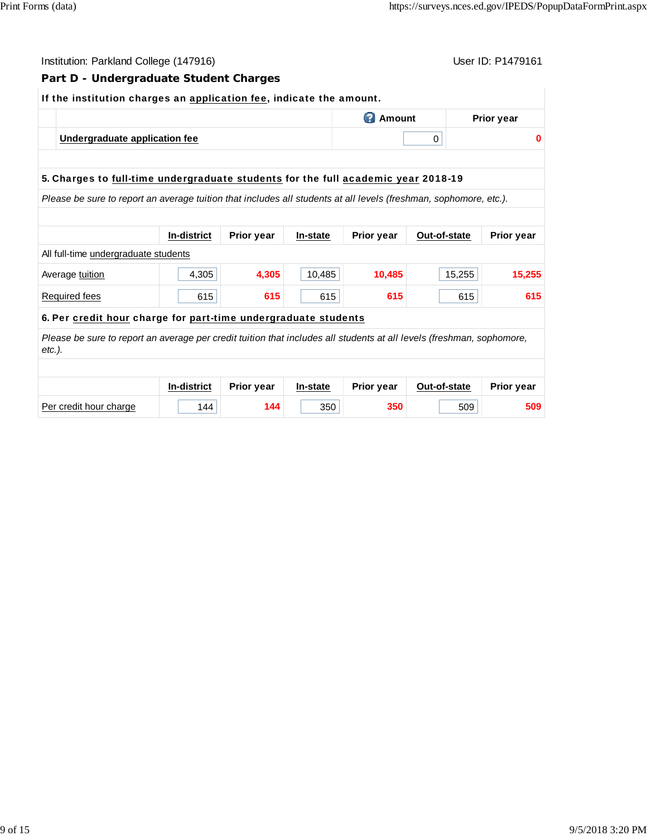| User ID: P1479161<br>Institution: Parkland College (147916)                                                                        |                    |            |          |                   |              |                   |  |  |  |
|------------------------------------------------------------------------------------------------------------------------------------|--------------------|------------|----------|-------------------|--------------|-------------------|--|--|--|
| Part D - Undergraduate Student Charges                                                                                             |                    |            |          |                   |              |                   |  |  |  |
| If the institution charges an application fee, indicate the amount.                                                                |                    |            |          |                   |              |                   |  |  |  |
| <b>2</b> Amount<br><b>Prior year</b>                                                                                               |                    |            |          |                   |              |                   |  |  |  |
| Undergraduate application fee                                                                                                      |                    |            |          | $\mathbf 0$       | 0            |                   |  |  |  |
|                                                                                                                                    |                    |            |          |                   |              |                   |  |  |  |
| 5. Charges to full-time undergraduate students for the full academic year 2018-19                                                  |                    |            |          |                   |              |                   |  |  |  |
|                                                                                                                                    |                    |            |          |                   |              |                   |  |  |  |
| Please be sure to report an average tuition that includes all students at all levels (freshman, sophomore, etc.).                  |                    |            |          |                   |              |                   |  |  |  |
|                                                                                                                                    | <b>In-district</b> | Prior year | In-state | Prior year        | Out-of-state | <b>Prior year</b> |  |  |  |
| All full-time undergraduate students                                                                                               |                    |            |          |                   |              |                   |  |  |  |
| Average tuition                                                                                                                    | 4,305              | 4,305      | 10,485   | 10,485            | 15,255       | 15,255            |  |  |  |
| <b>Required fees</b>                                                                                                               | 615                | 615        | 615      | 615               | 615          | 615               |  |  |  |
| 6. Per credit hour charge for part-time undergraduate students                                                                     |                    |            |          |                   |              |                   |  |  |  |
| Please be sure to report an average per credit tuition that includes all students at all levels (freshman, sophomore,<br>$etc.$ ). |                    |            |          |                   |              |                   |  |  |  |
|                                                                                                                                    |                    |            |          |                   |              |                   |  |  |  |
|                                                                                                                                    | In-district        | Prior year | In-state | <b>Prior year</b> | Out-of-state | <b>Prior year</b> |  |  |  |
| Per credit hour charge                                                                                                             | 144                | 144        | 350      | 350               | 509          | 509               |  |  |  |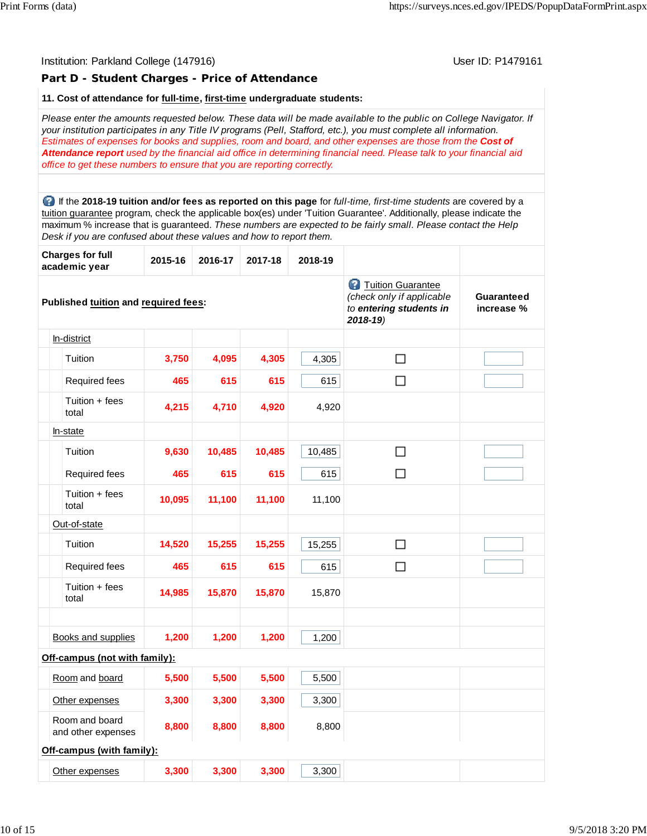## Institution: Parkland College (147916) November 2012 12: P1479161 **Part D - Student Charges - Price of Attendance 11. Cost of attendance for full-time, first-time undergraduate students:** *Please enter the amounts requested below. These data will be made available to the public on College Navigator. If your institution participates in any Title IV programs (Pell, Stafford, etc.), you must complete all information. Estimates of expenses for books and supplies, room and board, and other expenses are those from the Cost of Attendance report used by the financial aid office in determining financial need. Please talk to your financial aid office to get these numbers to ensure that you are reporting correctly.* If the **2018-19 tuition and/or fees as reported on this page** for *full-time, first-time students* are covered by a tuition guarantee program, check the applicable box(es) under 'Tuition Guarantee'. Additionally, please indicate the maximum % increase that is guaranteed. *These numbers are expected to be fairly small. Please contact the Help Desk if you are confused about these values and how to report them.* **Charges for full academic year 2015-16 2016-17 2017-18 2018-19 Tuition Guarantee** *(check only if applicable* **Guaranteed Published tuition and required fees:** *to entering students in* **increase %** *2018-19)* In-district  $\Box$ Tuition **3,750 4,095 4,305** 4,305 Required fees **465 615 615** 615  $\Box$ Tuition + fees total **4,215 4,710 4,920** 4,920 In-state Tuition **9,630 10,485 10,485** 10,485  $\Box$ Required fees **465 615 615** 615  $\Box$ Tuition + fees total **10,095 11,100 11,100** 11,100 Out-of-state Tuition **14,520 15,255 15,255** 15,255  $\Box$ Required fees **465 615 615** 615  $\Box$ Tuition + fees total **14,985 15,870 15,870** 15,870 Books and supplies **1,200 1,200 1,200** 1,200 **Off-campus (not with family):** Room and board **5,500 5,500 5,500** 5,500 Other expenses **3,300 3,300 3,300** 3,300 Room and board and other expenses **8,800 8,800 8,800** 8,800 **Off-campus (with family):** Other expenses **3,300 3,300 3,300** 3,300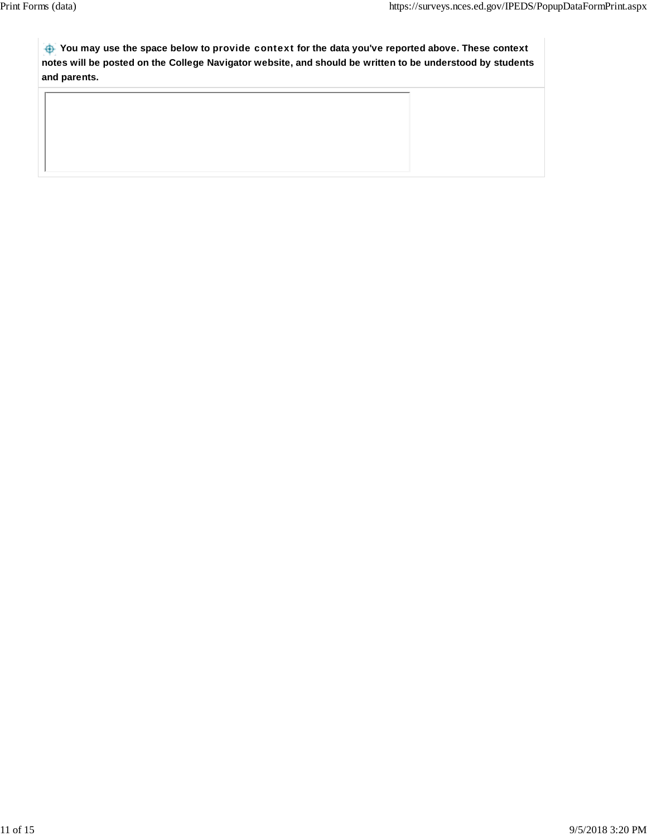**You may use the space below to** provide context **for the data you've reported above. These context notes will be posted on the College Navigator website, and should be written to be understood by students and parents.**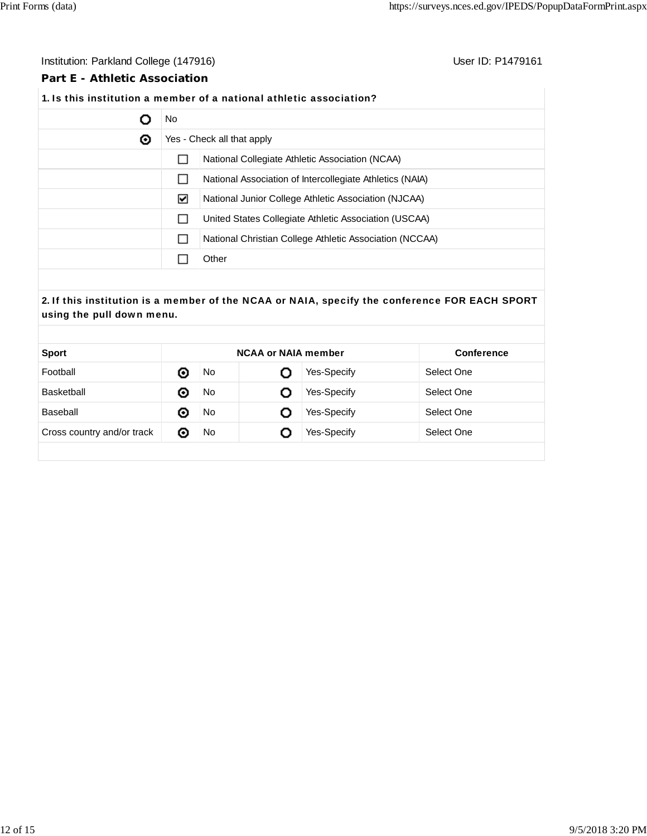#### Institution: Parkland College (147916) **Institution: Parkland College (147916**)

#### **Part E - Athletic Association**

## **1.** Is this institution a member of a national athletic association?

|   | No.          |                                                          |  |  |  |  |  |
|---|--------------|----------------------------------------------------------|--|--|--|--|--|
| ◉ |              | Yes - Check all that apply                               |  |  |  |  |  |
|   |              | National Collegiate Athletic Association (NCAA)          |  |  |  |  |  |
|   | $\mathsf{L}$ | National Association of Intercollegiate Athletics (NAIA) |  |  |  |  |  |
|   | ☑            | National Junior College Athletic Association (NJCAA)     |  |  |  |  |  |
|   |              | United States Collegiate Athletic Association (USCAA)    |  |  |  |  |  |
|   | $\mathbf{I}$ | National Christian College Athletic Association (NCCAA)  |  |  |  |  |  |
|   |              | Other                                                    |  |  |  |  |  |

## **2.** If this institution is a member of the NCAA or NAIA, specify the conference FOR EACH SPORT using the pull down menu.

| <b>Sport</b>               |   | <b>NCAA or NAIA member</b> | <b>Conference</b> |             |            |
|----------------------------|---|----------------------------|-------------------|-------------|------------|
| Football                   | ⊙ | No.                        | O                 | Yes-Specify | Select One |
| Basketball                 | 0 | No.                        | O                 | Yes-Specify | Select One |
| Baseball                   | ⊙ | No.                        | O                 | Yes-Specify | Select One |
| Cross country and/or track | 0 | No                         | O                 | Yes-Specify | Select One |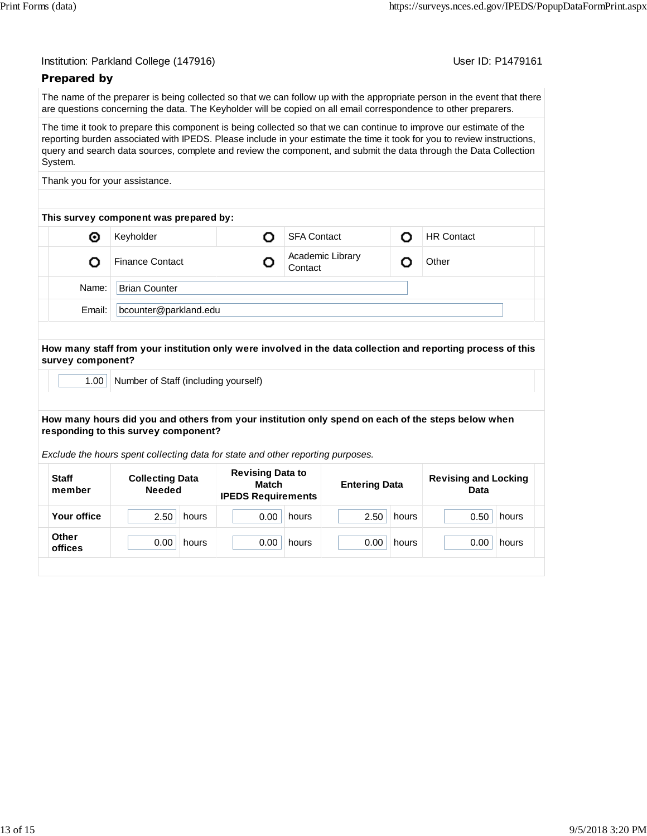User ID: P1479161

## **Prepared by**

The name of the preparer is being collected so that we can follow up with the appropriate person in the event that there are questions concerning the data. The Keyholder will be copied on all email correspondence to other preparers.

The time it took to prepare this component is being collected so that we can continue to improve our estimate of the reporting burden associated with IPEDS. Please include in your estimate the time it took for you to review instructions, query and search data sources, complete and review the component, and submit the data through the Data Collection System.

Thank you for your assistance.

| This survey component was prepared by: |                        |  |                             |   |                   |  |  |  |  |  |
|----------------------------------------|------------------------|--|-----------------------------|---|-------------------|--|--|--|--|--|
| ◉                                      | Keyholder              |  | <b>SFA Contact</b>          | n | <b>HR Contact</b> |  |  |  |  |  |
|                                        | <b>Finance Contact</b> |  | Academic Library<br>Contact |   | Other             |  |  |  |  |  |
| Name:                                  | <b>Brian Counter</b>   |  |                             |   |                   |  |  |  |  |  |
| Email:                                 | bcounter@parkland.edu  |  |                             |   |                   |  |  |  |  |  |

**How many staff from your institution only were involved in the data collection and reporting process of this survey component?**

1.00 | Number of Staff (including yourself)

**How many hours did you and others from your institution only spend on each of the steps below when responding to this survey component?**

*Exclude the hours spent collecting data for state and other reporting purposes.*

| <b>Staff</b><br>member | <b>Collecting Data</b><br><b>Needed</b> | <b>Revising Data to</b><br><b>Match</b><br><b>IPEDS Requirements</b> | <b>Entering Data</b> | <b>Revising and Locking</b><br>Data |  |
|------------------------|-----------------------------------------|----------------------------------------------------------------------|----------------------|-------------------------------------|--|
| Your office            | 2.50                                    | 0.00                                                                 | 2.50                 | 0.50                                |  |
|                        | hours                                   | hours                                                                | hours                | hours                               |  |
| <b>Other</b>           | 0.00                                    | 0.00                                                                 | 0.00                 | 0.00                                |  |
| offices                | hours                                   | hours                                                                | hours                | hours                               |  |
|                        |                                         |                                                                      |                      |                                     |  |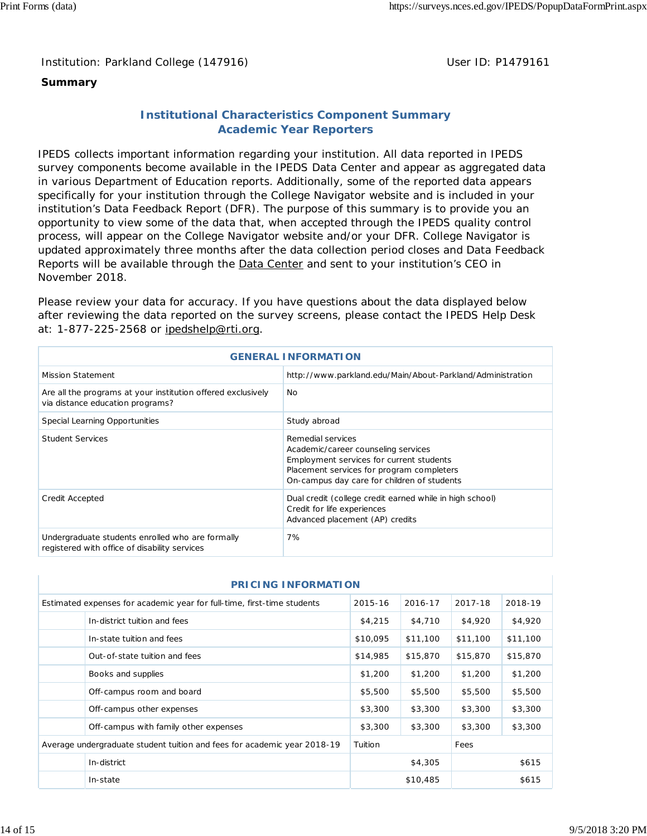## **Summary**

## **Institutional Characteristics Component Summary Academic Year Reporters**

IPEDS collects important information regarding your institution. All data reported in IPEDS survey components become available in the IPEDS Data Center and appear as aggregated data in various Department of Education reports. Additionally, some of the reported data appears specifically for your institution through the College Navigator website and is included in your institution's Data Feedback Report (DFR). The purpose of this summary is to provide you an opportunity to view some of the data that, when accepted through the IPEDS quality control process, will appear on the College Navigator website and/or your DFR. College Navigator is updated approximately three months after the data collection period closes and Data Feedback Reports will be available through the Data Center and sent to your institution's CEO in November 2018.

Please review your data for accuracy. If you have questions about the data displayed below after reviewing the data reported on the survey screens, please contact the IPEDS Help Desk at: 1-877-225-2568 or ipedshelp@rti.org.

| <b>GENERAL INFORMATION</b>                                                                        |                                                                                                                                                                                                  |  |  |  |  |
|---------------------------------------------------------------------------------------------------|--------------------------------------------------------------------------------------------------------------------------------------------------------------------------------------------------|--|--|--|--|
| <b>Mission Statement</b>                                                                          | http://www.parkland.edu/Main/About-Parkland/Administration                                                                                                                                       |  |  |  |  |
| Are all the programs at your institution offered exclusively<br>via distance education programs?  | No.                                                                                                                                                                                              |  |  |  |  |
| Special Learning Opportunities                                                                    | Study abroad                                                                                                                                                                                     |  |  |  |  |
| <b>Student Services</b>                                                                           | Remedial services<br>Academic/career counseling services<br>Employment services for current students<br>Placement services for program completers<br>On-campus day care for children of students |  |  |  |  |
| Credit Accepted                                                                                   | Dual credit (college credit earned while in high school)<br>Credit for life experiences<br>Advanced placement (AP) credits                                                                       |  |  |  |  |
| Undergraduate students enrolled who are formally<br>registered with office of disability services | 7%                                                                                                                                                                                               |  |  |  |  |

| <b>PRICING INFORMATION</b>                                                                                          |                                                                          |          |          |          |          |  |  |  |  |  |
|---------------------------------------------------------------------------------------------------------------------|--------------------------------------------------------------------------|----------|----------|----------|----------|--|--|--|--|--|
| 2015-16<br>2016-17<br>2017-18<br>2018-19<br>Estimated expenses for academic year for full-time, first-time students |                                                                          |          |          |          |          |  |  |  |  |  |
|                                                                                                                     | In-district tuition and fees                                             | \$4,215  | \$4,710  | \$4,920  | \$4,920  |  |  |  |  |  |
|                                                                                                                     | In-state tuition and fees                                                | \$10,095 | \$11,100 | \$11,100 | \$11,100 |  |  |  |  |  |
|                                                                                                                     | Out-of-state tuition and fees                                            | \$14,985 | \$15,870 | \$15,870 | \$15,870 |  |  |  |  |  |
|                                                                                                                     | Books and supplies                                                       | \$1,200  | \$1,200  | \$1,200  | \$1,200  |  |  |  |  |  |
|                                                                                                                     | Off-campus room and board                                                | \$5,500  | \$5,500  | \$5,500  | \$5,500  |  |  |  |  |  |
|                                                                                                                     | Off-campus other expenses                                                | \$3,300  | \$3,300  | \$3,300  | \$3,300  |  |  |  |  |  |
|                                                                                                                     | Off-campus with family other expenses                                    | \$3,300  | \$3,300  | \$3,300  | \$3,300  |  |  |  |  |  |
|                                                                                                                     | Average undergraduate student tuition and fees for academic year 2018-19 | Tuition  |          | Fees     |          |  |  |  |  |  |
|                                                                                                                     | In-district                                                              |          | \$4,305  |          | \$615    |  |  |  |  |  |
| In-state                                                                                                            |                                                                          |          | \$10,485 |          | \$615    |  |  |  |  |  |